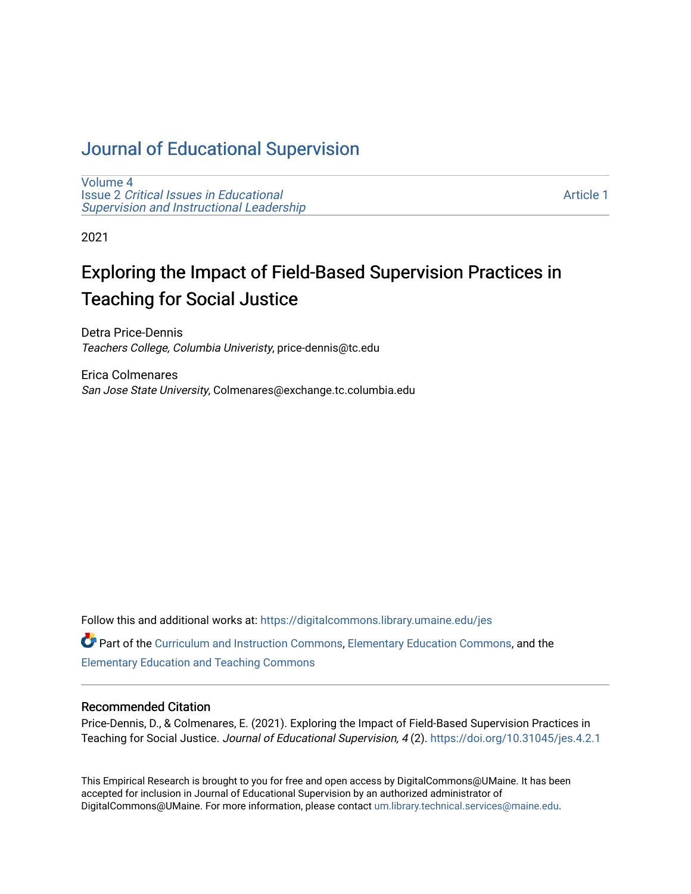# [Journal of Educational Supervision](https://digitalcommons.library.umaine.edu/jes)

[Volume 4](https://digitalcommons.library.umaine.edu/jes/vol4) Issue 2 [Critical Issues in Educational](https://digitalcommons.library.umaine.edu/jes/vol4/iss2) [Supervision and Instructional Leadership](https://digitalcommons.library.umaine.edu/jes/vol4/iss2) 

[Article 1](https://digitalcommons.library.umaine.edu/jes/vol4/iss2/1) 

2021

# Exploring the Impact of Field-Based Supervision Practices in Teaching for Social Justice

Detra Price-Dennis Teachers College, Columbia Univeristy, price-dennis@tc.edu

Erica Colmenares San Jose State University, Colmenares@exchange.tc.columbia.edu

Follow this and additional works at: [https://digitalcommons.library.umaine.edu/jes](https://digitalcommons.library.umaine.edu/jes?utm_source=digitalcommons.library.umaine.edu%2Fjes%2Fvol4%2Fiss2%2F1&utm_medium=PDF&utm_campaign=PDFCoverPages)

Part of the [Curriculum and Instruction Commons,](http://network.bepress.com/hgg/discipline/786?utm_source=digitalcommons.library.umaine.edu%2Fjes%2Fvol4%2Fiss2%2F1&utm_medium=PDF&utm_campaign=PDFCoverPages) [Elementary Education Commons](http://network.bepress.com/hgg/discipline/1378?utm_source=digitalcommons.library.umaine.edu%2Fjes%2Fvol4%2Fiss2%2F1&utm_medium=PDF&utm_campaign=PDFCoverPages), and the [Elementary Education and Teaching Commons](http://network.bepress.com/hgg/discipline/805?utm_source=digitalcommons.library.umaine.edu%2Fjes%2Fvol4%2Fiss2%2F1&utm_medium=PDF&utm_campaign=PDFCoverPages)

#### Recommended Citation

Price-Dennis, D., & Colmenares, E. (2021). Exploring the Impact of Field-Based Supervision Practices in Teaching for Social Justice. Journal of Educational Supervision, 4 (2). <https://doi.org/10.31045/jes.4.2.1>

This Empirical Research is brought to you for free and open access by DigitalCommons@UMaine. It has been accepted for inclusion in Journal of Educational Supervision by an authorized administrator of DigitalCommons@UMaine. For more information, please contact [um.library.technical.services@maine.edu](mailto:um.library.technical.services@maine.edu).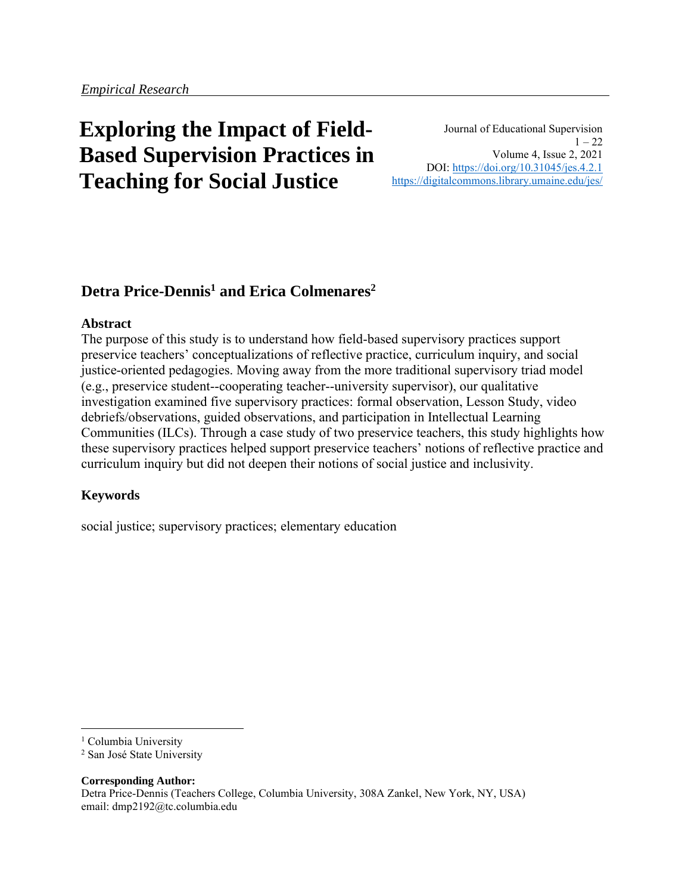# **Exploring the Impact of Field-Based Supervision Practices in Teaching for Social Justice**

Journal of Educational Supervision  $1 - 22$ Volume 4, Issue 2, 2021 DOI: <https://doi.org/10.31045/jes.4.2.1> <https://digitalcommons.library.umaine.edu/jes/>

# **Detra Price-Dennis<sup>1</sup> and Erica Colmenares<sup>2</sup>**

#### **Abstract**

The purpose of this study is to understand how field-based supervisory practices support preservice teachers' conceptualizations of reflective practice, curriculum inquiry, and social justice-oriented pedagogies. Moving away from the more traditional supervisory triad model (e.g., preservice student--cooperating teacher--university supervisor), our qualitative investigation examined five supervisory practices: formal observation, Lesson Study, video debriefs/observations, guided observations, and participation in Intellectual Learning Communities (ILCs). Through a case study of two preservice teachers, this study highlights how these supervisory practices helped support preservice teachers' notions of reflective practice and curriculum inquiry but did not deepen their notions of social justice and inclusivity.

#### **Keywords**

social justice; supervisory practices; elementary education

**Corresponding Author:** Detra Price-Dennis (Teachers College, Columbia University, 308A Zankel, New York, NY, USA) email: dmp2192@tc.columbia.edu

<sup>&</sup>lt;sup>1</sup> Columbia University

<sup>2</sup> San José State University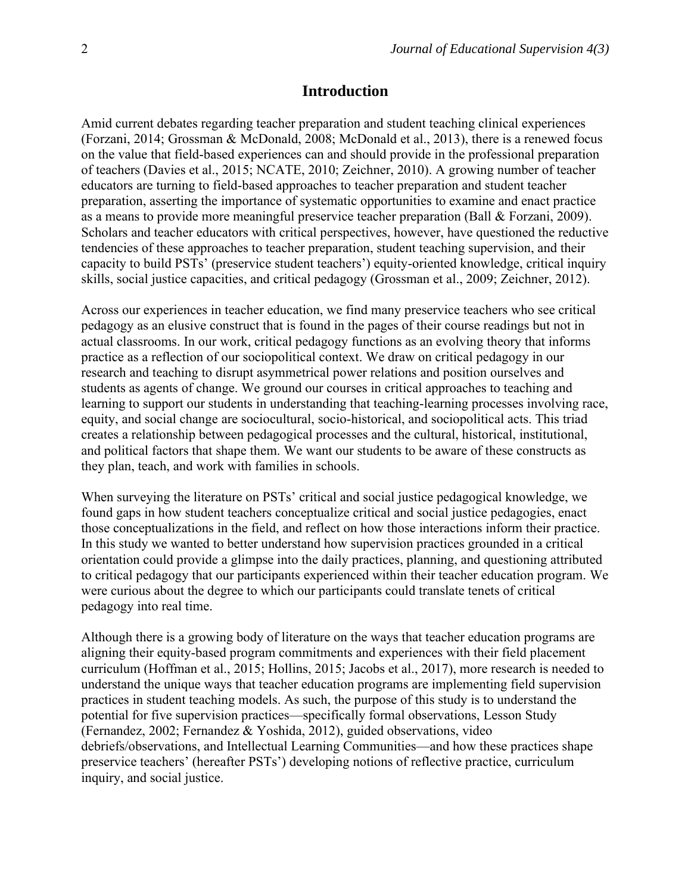## **Introduction**

Amid current debates regarding teacher preparation and student teaching clinical experiences (Forzani, 2014; Grossman & McDonald, 2008; McDonald et al., 2013), there is a renewed focus on the value that field-based experiences can and should provide in the professional preparation of teachers (Davies et al., 2015; NCATE, 2010; Zeichner, 2010). A growing number of teacher educators are turning to field-based approaches to teacher preparation and student teacher preparation, asserting the importance of systematic opportunities to examine and enact practice as a means to provide more meaningful preservice teacher preparation (Ball & Forzani, 2009). Scholars and teacher educators with critical perspectives, however, have questioned the reductive tendencies of these approaches to teacher preparation, student teaching supervision, and their capacity to build PSTs' (preservice student teachers') equity-oriented knowledge, critical inquiry skills, social justice capacities, and critical pedagogy (Grossman et al., 2009; Zeichner, 2012).

Across our experiences in teacher education, we find many preservice teachers who see critical pedagogy as an elusive construct that is found in the pages of their course readings but not in actual classrooms. In our work, critical pedagogy functions as an evolving theory that informs practice as a reflection of our sociopolitical context. We draw on critical pedagogy in our research and teaching to disrupt asymmetrical power relations and position ourselves and students as agents of change. We ground our courses in critical approaches to teaching and learning to support our students in understanding that teaching-learning processes involving race, equity, and social change are sociocultural, socio-historical, and sociopolitical acts. This triad creates a relationship between pedagogical processes and the cultural, historical, institutional, and political factors that shape them. We want our students to be aware of these constructs as they plan, teach, and work with families in schools.

When surveying the literature on PSTs' critical and social justice pedagogical knowledge, we found gaps in how student teachers conceptualize critical and social justice pedagogies, enact those conceptualizations in the field, and reflect on how those interactions inform their practice. In this study we wanted to better understand how supervision practices grounded in a critical orientation could provide a glimpse into the daily practices, planning, and questioning attributed to critical pedagogy that our participants experienced within their teacher education program. We were curious about the degree to which our participants could translate tenets of critical pedagogy into real time.

Although there is a growing body of literature on the ways that teacher education programs are aligning their equity-based program commitments and experiences with their field placement curriculum (Hoffman et al., 2015; Hollins, 2015; Jacobs et al., 2017), more research is needed to understand the unique ways that teacher education programs are implementing field supervision practices in student teaching models. As such, the purpose of this study is to understand the potential for five supervision practices—specifically formal observations, Lesson Study (Fernandez, 2002; Fernandez & Yoshida, 2012), guided observations, video debriefs/observations, and Intellectual Learning Communities—and how these practices shape preservice teachers' (hereafter PSTs') developing notions of reflective practice, curriculum inquiry, and social justice.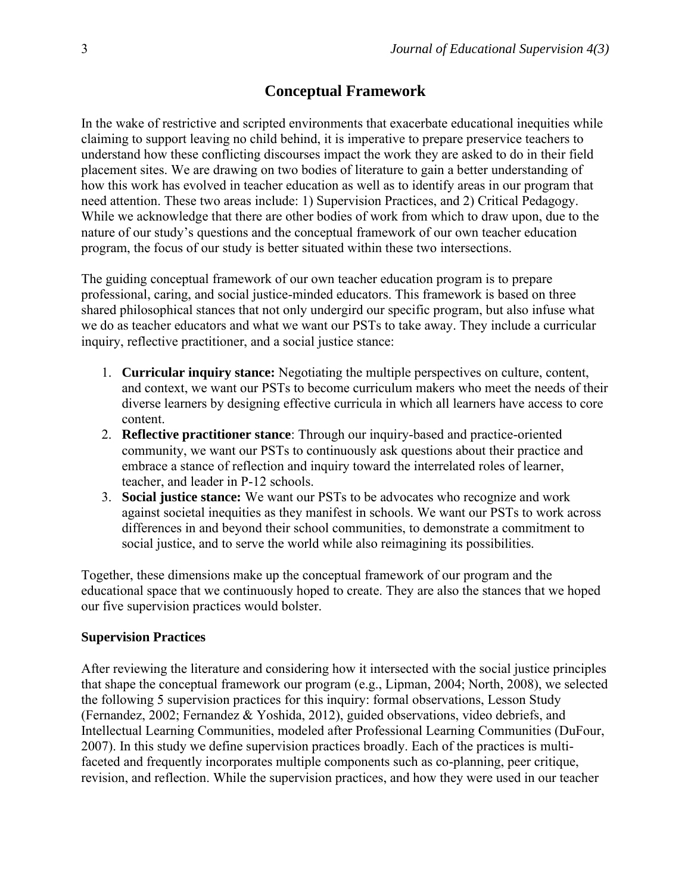# **Conceptual Framework**

In the wake of restrictive and scripted environments that exacerbate educational inequities while claiming to support leaving no child behind, it is imperative to prepare preservice teachers to understand how these conflicting discourses impact the work they are asked to do in their field placement sites. We are drawing on two bodies of literature to gain a better understanding of how this work has evolved in teacher education as well as to identify areas in our program that need attention. These two areas include: 1) Supervision Practices, and 2) Critical Pedagogy. While we acknowledge that there are other bodies of work from which to draw upon, due to the nature of our study's questions and the conceptual framework of our own teacher education program, the focus of our study is better situated within these two intersections.

The guiding conceptual framework of our own teacher education program is to prepare professional, caring, and social justice-minded educators. This framework is based on three shared philosophical stances that not only undergird our specific program, but also infuse what we do as teacher educators and what we want our PSTs to take away. They include a curricular inquiry, reflective practitioner, and a social justice stance:

- 1. **Curricular inquiry stance:** Negotiating the multiple perspectives on culture, content, and context, we want our PSTs to become curriculum makers who meet the needs of their diverse learners by designing effective curricula in which all learners have access to core content.
- 2. **Reflective practitioner stance**: Through our inquiry-based and practice-oriented community, we want our PSTs to continuously ask questions about their practice and embrace a stance of reflection and inquiry toward the interrelated roles of learner, teacher, and leader in P-12 schools.
- 3. **Social justice stance:** We want our PSTs to be advocates who recognize and work against societal inequities as they manifest in schools. We want our PSTs to work across differences in and beyond their school communities, to demonstrate a commitment to social justice, and to serve the world while also reimagining its possibilities.

Together, these dimensions make up the conceptual framework of our program and the educational space that we continuously hoped to create. They are also the stances that we hoped our five supervision practices would bolster.

#### **Supervision Practices**

After reviewing the literature and considering how it intersected with the social justice principles that shape the conceptual framework our program (e.g., Lipman, 2004; North, 2008), we selected the following 5 supervision practices for this inquiry: formal observations, Lesson Study (Fernandez, 2002; Fernandez & Yoshida, 2012), guided observations, video debriefs, and Intellectual Learning Communities, modeled after Professional Learning Communities (DuFour, 2007). In this study we define supervision practices broadly. Each of the practices is multifaceted and frequently incorporates multiple components such as co-planning, peer critique, revision, and reflection. While the supervision practices, and how they were used in our teacher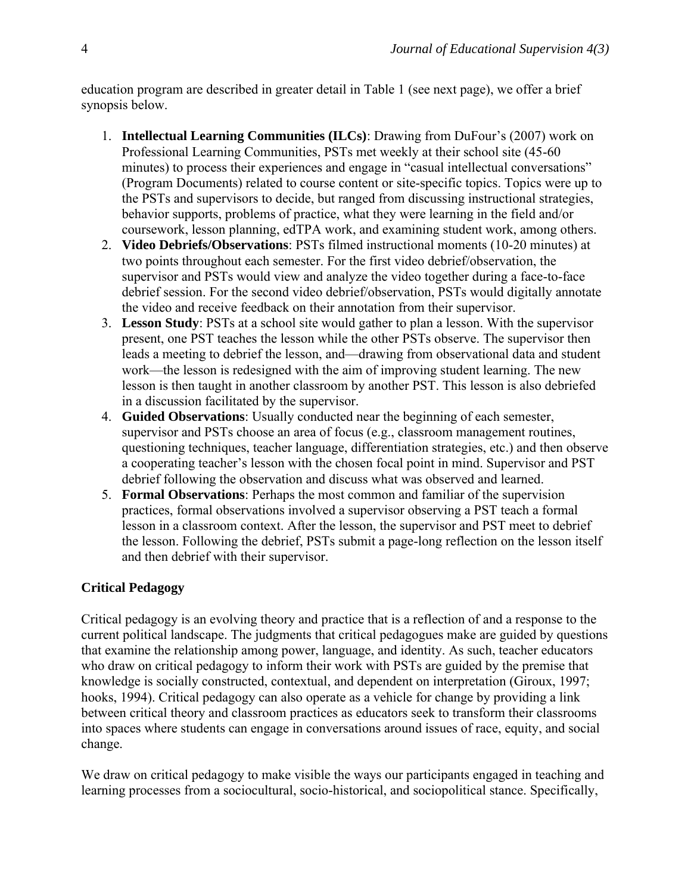education program are described in greater detail in Table 1 (see next page), we offer a brief synopsis below.

- 1. **Intellectual Learning Communities (ILCs)**: Drawing from DuFour's (2007) work on Professional Learning Communities, PSTs met weekly at their school site (45-60 minutes) to process their experiences and engage in "casual intellectual conversations" (Program Documents) related to course content or site-specific topics. Topics were up to the PSTs and supervisors to decide, but ranged from discussing instructional strategies, behavior supports, problems of practice, what they were learning in the field and/or coursework, lesson planning, edTPA work, and examining student work, among others.
- 2. **Video Debriefs/Observations**: PSTs filmed instructional moments (10-20 minutes) at two points throughout each semester. For the first video debrief/observation, the supervisor and PSTs would view and analyze the video together during a face-to-face debrief session. For the second video debrief/observation, PSTs would digitally annotate the video and receive feedback on their annotation from their supervisor.
- 3. **Lesson Study**: PSTs at a school site would gather to plan a lesson. With the supervisor present, one PST teaches the lesson while the other PSTs observe. The supervisor then leads a meeting to debrief the lesson, and—drawing from observational data and student work—the lesson is redesigned with the aim of improving student learning. The new lesson is then taught in another classroom by another PST. This lesson is also debriefed in a discussion facilitated by the supervisor.
- 4. **Guided Observations**: Usually conducted near the beginning of each semester, supervisor and PSTs choose an area of focus (e.g., classroom management routines, questioning techniques, teacher language, differentiation strategies, etc.) and then observe a cooperating teacher's lesson with the chosen focal point in mind. Supervisor and PST debrief following the observation and discuss what was observed and learned.
- 5. **Formal Observations**: Perhaps the most common and familiar of the supervision practices, formal observations involved a supervisor observing a PST teach a formal lesson in a classroom context. After the lesson, the supervisor and PST meet to debrief the lesson. Following the debrief, PSTs submit a page-long reflection on the lesson itself and then debrief with their supervisor.

# **Critical Pedagogy**

Critical pedagogy is an evolving theory and practice that is a reflection of and a response to the current political landscape. The judgments that critical pedagogues make are guided by questions that examine the relationship among power, language, and identity. As such, teacher educators who draw on critical pedagogy to inform their work with PSTs are guided by the premise that knowledge is socially constructed, contextual, and dependent on interpretation (Giroux, 1997; hooks, 1994). Critical pedagogy can also operate as a vehicle for change by providing a link between critical theory and classroom practices as educators seek to transform their classrooms into spaces where students can engage in conversations around issues of race, equity, and social change.

We draw on critical pedagogy to make visible the ways our participants engaged in teaching and learning processes from a sociocultural, socio-historical, and sociopolitical stance. Specifically,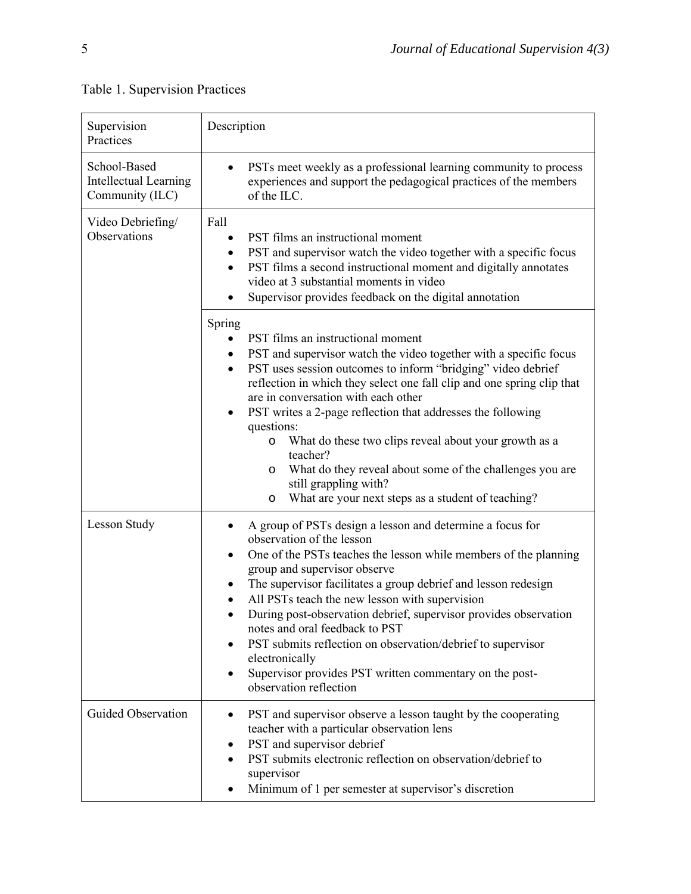# Table 1. Supervision Practices

| Supervision<br>Practices                                        | Description                                                                                                                                                                                                                                                                                                                                                                                                                                                                                                                                                                                                                                            |  |  |
|-----------------------------------------------------------------|--------------------------------------------------------------------------------------------------------------------------------------------------------------------------------------------------------------------------------------------------------------------------------------------------------------------------------------------------------------------------------------------------------------------------------------------------------------------------------------------------------------------------------------------------------------------------------------------------------------------------------------------------------|--|--|
| School-Based<br><b>Intellectual Learning</b><br>Community (ILC) | PSTs meet weekly as a professional learning community to process<br>experiences and support the pedagogical practices of the members<br>of the ILC.                                                                                                                                                                                                                                                                                                                                                                                                                                                                                                    |  |  |
| Video Debriefing/<br>Observations                               | Fall<br>PST films an instructional moment<br>PST and supervisor watch the video together with a specific focus<br>$\bullet$<br>PST films a second instructional moment and digitally annotates<br>video at 3 substantial moments in video<br>Supervisor provides feedback on the digital annotation                                                                                                                                                                                                                                                                                                                                                    |  |  |
|                                                                 | Spring<br>PST films an instructional moment<br>PST and supervisor watch the video together with a specific focus<br>$\bullet$<br>PST uses session outcomes to inform "bridging" video debrief<br>٠<br>reflection in which they select one fall clip and one spring clip that<br>are in conversation with each other<br>PST writes a 2-page reflection that addresses the following<br>٠<br>questions:<br>What do these two clips reveal about your growth as a<br>$\circ$<br>teacher?<br>What do they reveal about some of the challenges you are<br>$\circ$<br>still grappling with?<br>What are your next steps as a student of teaching?<br>$\circ$ |  |  |
| <b>Lesson Study</b>                                             | A group of PSTs design a lesson and determine a focus for<br>observation of the lesson<br>One of the PSTs teaches the lesson while members of the planning<br>group and supervisor observe<br>The supervisor facilitates a group debrief and lesson redesign<br>All PSTs teach the new lesson with supervision<br>During post-observation debrief, supervisor provides observation<br>notes and oral feedback to PST<br>PST submits reflection on observation/debrief to supervisor<br>electronically<br>Supervisor provides PST written commentary on the post-<br>observation reflection                                                             |  |  |
| <b>Guided Observation</b>                                       | PST and supervisor observe a lesson taught by the cooperating<br>teacher with a particular observation lens<br>PST and supervisor debrief<br>PST submits electronic reflection on observation/debrief to<br>supervisor<br>Minimum of 1 per semester at supervisor's discretion                                                                                                                                                                                                                                                                                                                                                                         |  |  |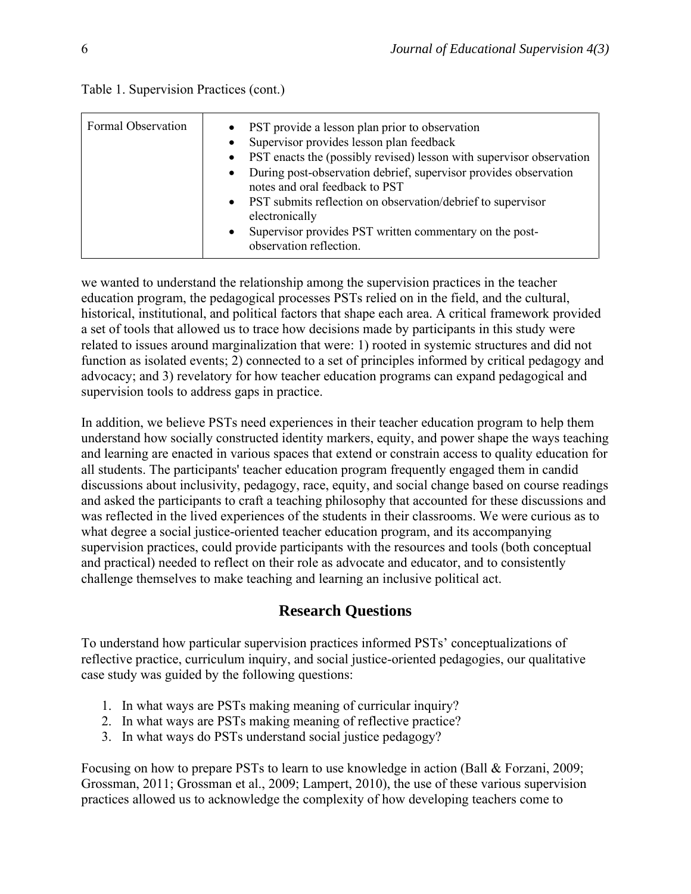| Formal Observation | • PST provide a lesson plan prior to observation<br>Supervisor provides lesson plan feedback<br>$\bullet$<br>PST enacts the (possibly revised) lesson with supervisor observation<br>$\bullet$<br>During post-observation debrief, supervisor provides observation<br>$\bullet$<br>notes and oral feedback to PST<br>• PST submits reflection on observation/debrief to supervisor<br>electronically |
|--------------------|------------------------------------------------------------------------------------------------------------------------------------------------------------------------------------------------------------------------------------------------------------------------------------------------------------------------------------------------------------------------------------------------------|
|                    | Supervisor provides PST written commentary on the post-<br>$\bullet$<br>observation reflection.                                                                                                                                                                                                                                                                                                      |

Table 1. Supervision Practices (cont.)

we wanted to understand the relationship among the supervision practices in the teacher education program, the pedagogical processes PSTs relied on in the field, and the cultural, historical, institutional, and political factors that shape each area. A critical framework provided a set of tools that allowed us to trace how decisions made by participants in this study were related to issues around marginalization that were: 1) rooted in systemic structures and did not function as isolated events; 2) connected to a set of principles informed by critical pedagogy and advocacy; and 3) revelatory for how teacher education programs can expand pedagogical and supervision tools to address gaps in practice.

In addition, we believe PSTs need experiences in their teacher education program to help them understand how socially constructed identity markers, equity, and power shape the ways teaching and learning are enacted in various spaces that extend or constrain access to quality education for all students. The participants' teacher education program frequently engaged them in candid discussions about inclusivity, pedagogy, race, equity, and social change based on course readings and asked the participants to craft a teaching philosophy that accounted for these discussions and was reflected in the lived experiences of the students in their classrooms. We were curious as to what degree a social justice-oriented teacher education program, and its accompanying supervision practices, could provide participants with the resources and tools (both conceptual and practical) needed to reflect on their role as advocate and educator, and to consistently challenge themselves to make teaching and learning an inclusive political act.

# **Research Questions**

To understand how particular supervision practices informed PSTs' conceptualizations of reflective practice, curriculum inquiry, and social justice-oriented pedagogies, our qualitative case study was guided by the following questions:

- 1. In what ways are PSTs making meaning of curricular inquiry?
- 2. In what ways are PSTs making meaning of reflective practice?
- 3. In what ways do PSTs understand social justice pedagogy?

Focusing on how to prepare PSTs to learn to use knowledge in action (Ball & Forzani, 2009; Grossman, 2011; Grossman et al., 2009; Lampert, 2010), the use of these various supervision practices allowed us to acknowledge the complexity of how developing teachers come to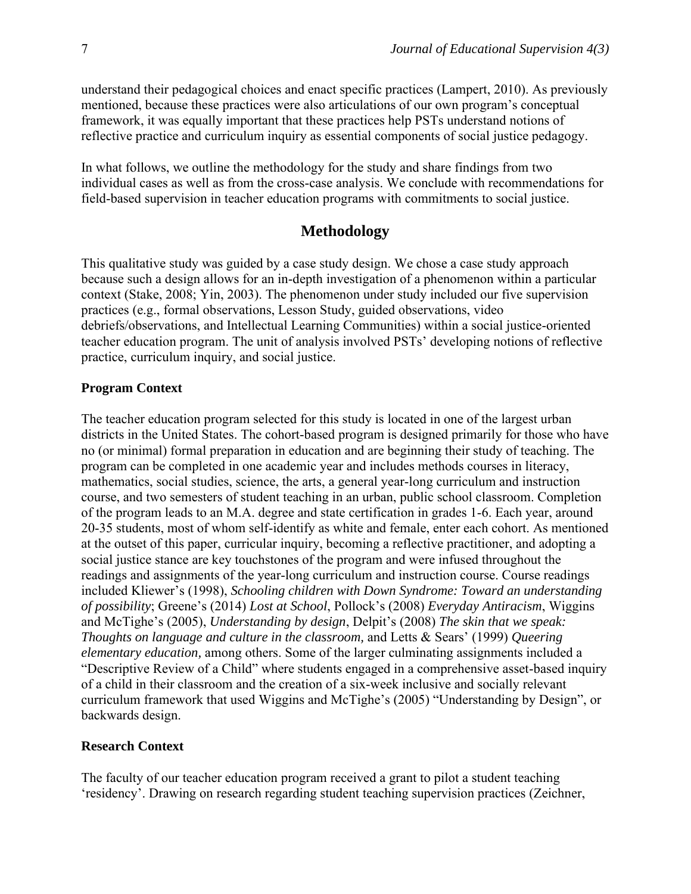understand their pedagogical choices and enact specific practices (Lampert, 2010). As previously mentioned, because these practices were also articulations of our own program's conceptual framework, it was equally important that these practices help PSTs understand notions of reflective practice and curriculum inquiry as essential components of social justice pedagogy.

In what follows, we outline the methodology for the study and share findings from two individual cases as well as from the cross-case analysis. We conclude with recommendations for field-based supervision in teacher education programs with commitments to social justice.

### **Methodology**

This qualitative study was guided by a case study design. We chose a case study approach because such a design allows for an in-depth investigation of a phenomenon within a particular context (Stake, 2008; Yin, 2003). The phenomenon under study included our five supervision practices (e.g., formal observations, Lesson Study, guided observations, video debriefs/observations, and Intellectual Learning Communities) within a social justice-oriented teacher education program. The unit of analysis involved PSTs' developing notions of reflective practice, curriculum inquiry, and social justice.

#### **Program Context**

The teacher education program selected for this study is located in one of the largest urban districts in the United States. The cohort-based program is designed primarily for those who have no (or minimal) formal preparation in education and are beginning their study of teaching. The program can be completed in one academic year and includes methods courses in literacy, mathematics, social studies, science, the arts, a general year-long curriculum and instruction course, and two semesters of student teaching in an urban, public school classroom. Completion of the program leads to an M.A. degree and state certification in grades 1-6. Each year, around 20-35 students, most of whom self-identify as white and female, enter each cohort. As mentioned at the outset of this paper, curricular inquiry, becoming a reflective practitioner, and adopting a social justice stance are key touchstones of the program and were infused throughout the readings and assignments of the year-long curriculum and instruction course. Course readings included Kliewer's (1998), *Schooling children with Down Syndrome: Toward an understanding of possibility*; Greene's (2014) *Lost at School*, Pollock's (2008) *Everyday Antiracism*, Wiggins and McTighe's (2005), *Understanding by design*, Delpit's (2008) *The skin that we speak: Thoughts on language and culture in the classroom,* and Letts & Sears' (1999) *Queering elementary education,* among others. Some of the larger culminating assignments included a "Descriptive Review of a Child" where students engaged in a comprehensive asset-based inquiry of a child in their classroom and the creation of a six-week inclusive and socially relevant curriculum framework that used Wiggins and McTighe's (2005) "Understanding by Design", or backwards design.

#### **Research Context**

The faculty of our teacher education program received a grant to pilot a student teaching 'residency'. Drawing on research regarding student teaching supervision practices (Zeichner,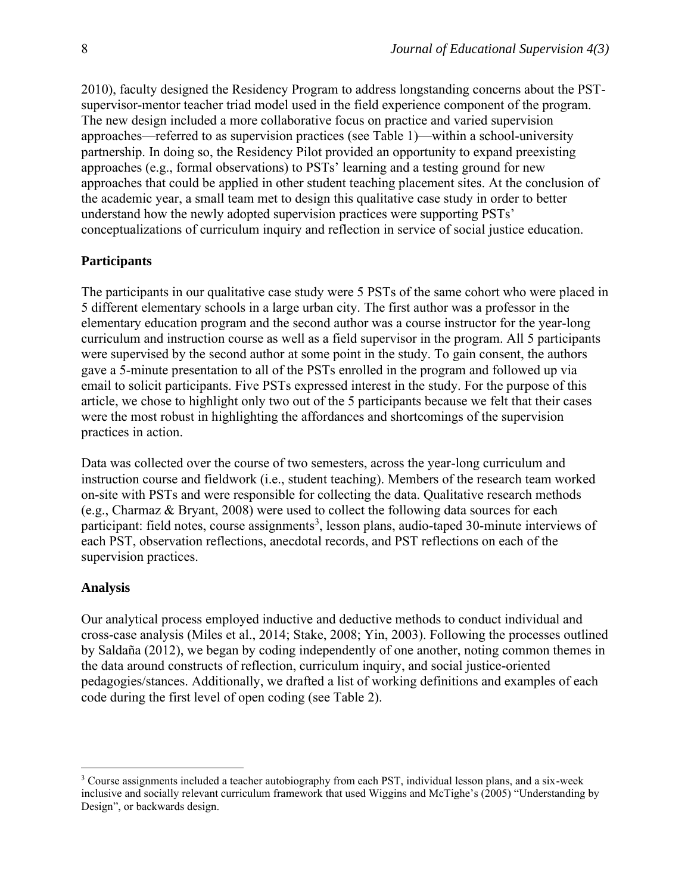2010), faculty designed the Residency Program to address longstanding concerns about the PSTsupervisor-mentor teacher triad model used in the field experience component of the program. The new design included a more collaborative focus on practice and varied supervision approaches—referred to as supervision practices (see Table 1)—within a school-university partnership. In doing so, the Residency Pilot provided an opportunity to expand preexisting approaches (e.g., formal observations) to PSTs' learning and a testing ground for new approaches that could be applied in other student teaching placement sites. At the conclusion of the academic year, a small team met to design this qualitative case study in order to better understand how the newly adopted supervision practices were supporting PSTs' conceptualizations of curriculum inquiry and reflection in service of social justice education.

#### **Participants**

The participants in our qualitative case study were 5 PSTs of the same cohort who were placed in 5 different elementary schools in a large urban city. The first author was a professor in the elementary education program and the second author was a course instructor for the year-long curriculum and instruction course as well as a field supervisor in the program. All 5 participants were supervised by the second author at some point in the study. To gain consent, the authors gave a 5-minute presentation to all of the PSTs enrolled in the program and followed up via email to solicit participants. Five PSTs expressed interest in the study. For the purpose of this article, we chose to highlight only two out of the 5 participants because we felt that their cases were the most robust in highlighting the affordances and shortcomings of the supervision practices in action.

Data was collected over the course of two semesters, across the year-long curriculum and instruction course and fieldwork (i.e., student teaching). Members of the research team worked on-site with PSTs and were responsible for collecting the data. Qualitative research methods (e.g., Charmaz & Bryant, 2008) were used to collect the following data sources for each participant: field notes, course assignments<sup>3</sup>, lesson plans, audio-taped 30-minute interviews of each PST, observation reflections, anecdotal records, and PST reflections on each of the supervision practices.

#### **Analysis**

Our analytical process employed inductive and deductive methods to conduct individual and cross-case analysis (Miles et al., 2014; Stake, 2008; Yin, 2003). Following the processes outlined by Saldaña (2012), we began by coding independently of one another, noting common themes in the data around constructs of reflection, curriculum inquiry, and social justice-oriented pedagogies/stances. Additionally, we drafted a list of working definitions and examples of each code during the first level of open coding (see Table 2).

<sup>3</sup> Course assignments included a teacher autobiography from each PST, individual lesson plans, and a six-week inclusive and socially relevant curriculum framework that used Wiggins and McTighe's (2005) "Understanding by Design", or backwards design.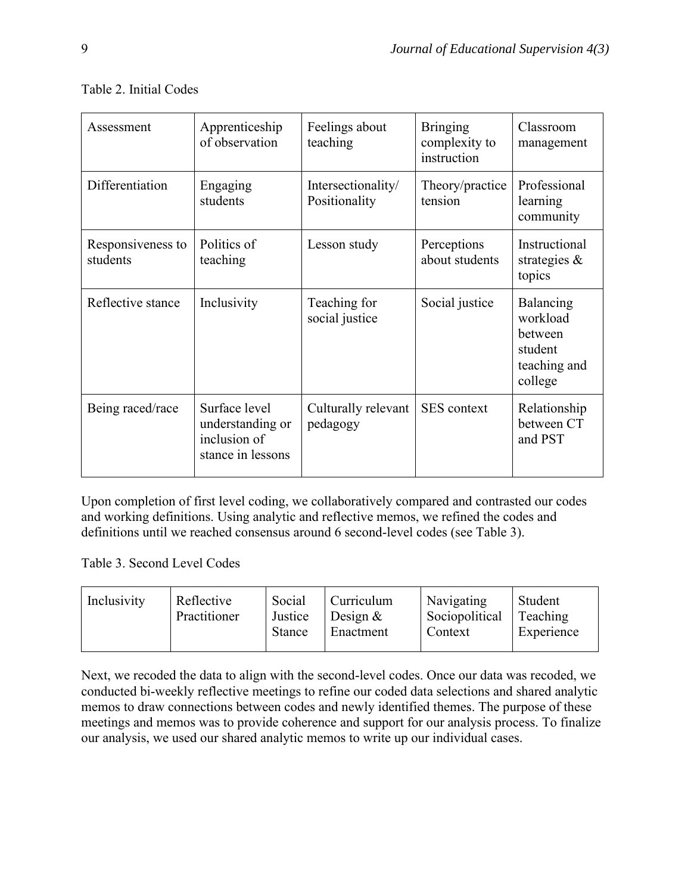| Assessment                    | Apprenticeship<br>of observation                                       | Feelings about<br>teaching          | <b>Bringing</b><br>complexity to<br>instruction | Classroom<br>management                                                |
|-------------------------------|------------------------------------------------------------------------|-------------------------------------|-------------------------------------------------|------------------------------------------------------------------------|
| Differentiation               | Engaging<br>students                                                   | Intersectionality/<br>Positionality | Theory/practice<br>tension                      | Professional<br>learning<br>community                                  |
| Responsiveness to<br>students | Politics of<br>teaching                                                | Lesson study                        | Perceptions<br>about students                   | Instructional<br>strategies $\&$<br>topics                             |
| Reflective stance             | Inclusivity                                                            | Teaching for<br>social justice      | Social justice                                  | Balancing<br>workload<br>between<br>student<br>teaching and<br>college |
| Being raced/race              | Surface level<br>understanding or<br>inclusion of<br>stance in lessons | Culturally relevant<br>pedagogy     | <b>SES</b> context                              | Relationship<br>between CT<br>and PST                                  |

# Table 2. Initial Codes

Upon completion of first level coding, we collaboratively compared and contrasted our codes and working definitions. Using analytic and reflective memos, we refined the codes and definitions until we reached consensus around 6 second-level codes (see Table 3).

# Table 3. Second Level Codes

| Social<br>Inclusivity<br>Reflective<br>Curriculum<br>Practitioner<br>Justice<br>Design $\&$<br>Stance<br>Enactment | Navigating<br>Sociopolitical<br>Context | Student<br>Teaching<br>Experience |
|--------------------------------------------------------------------------------------------------------------------|-----------------------------------------|-----------------------------------|
|--------------------------------------------------------------------------------------------------------------------|-----------------------------------------|-----------------------------------|

Next, we recoded the data to align with the second-level codes. Once our data was recoded, we conducted bi-weekly reflective meetings to refine our coded data selections and shared analytic memos to draw connections between codes and newly identified themes. The purpose of these meetings and memos was to provide coherence and support for our analysis process. To finalize our analysis, we used our shared analytic memos to write up our individual cases.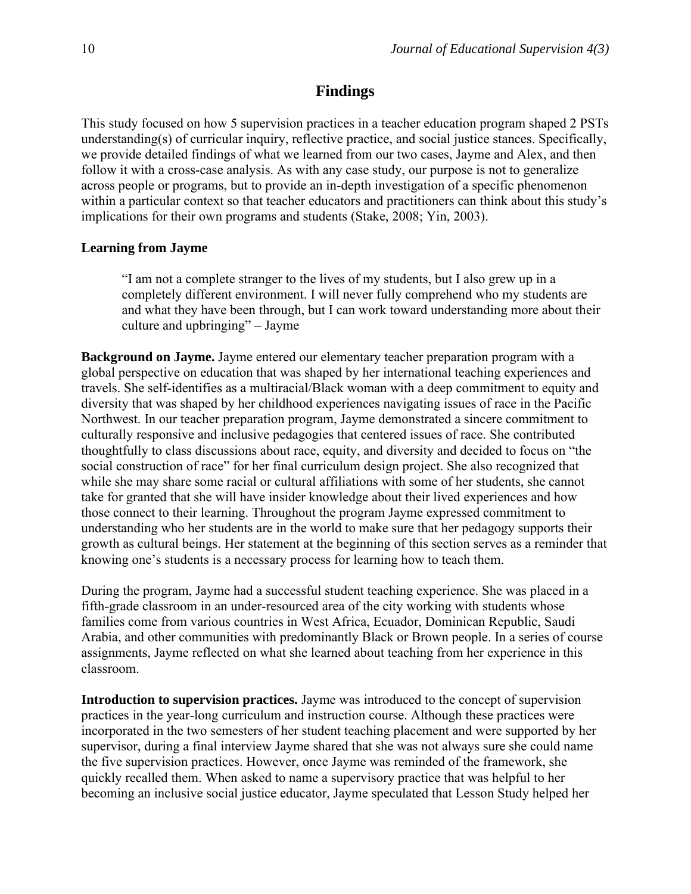# **Findings**

This study focused on how 5 supervision practices in a teacher education program shaped 2 PSTs understanding(s) of curricular inquiry, reflective practice, and social justice stances. Specifically, we provide detailed findings of what we learned from our two cases, Jayme and Alex, and then follow it with a cross-case analysis. As with any case study, our purpose is not to generalize across people or programs, but to provide an in-depth investigation of a specific phenomenon within a particular context so that teacher educators and practitioners can think about this study's implications for their own programs and students (Stake, 2008; Yin, 2003).

#### **Learning from Jayme**

"I am not a complete stranger to the lives of my students, but I also grew up in a completely different environment. I will never fully comprehend who my students are and what they have been through, but I can work toward understanding more about their culture and upbringing" – Jayme

**Background on Jayme.** Jayme entered our elementary teacher preparation program with a global perspective on education that was shaped by her international teaching experiences and travels. She self-identifies as a multiracial/Black woman with a deep commitment to equity and diversity that was shaped by her childhood experiences navigating issues of race in the Pacific Northwest. In our teacher preparation program, Jayme demonstrated a sincere commitment to culturally responsive and inclusive pedagogies that centered issues of race. She contributed thoughtfully to class discussions about race, equity, and diversity and decided to focus on "the social construction of race" for her final curriculum design project. She also recognized that while she may share some racial or cultural affiliations with some of her students, she cannot take for granted that she will have insider knowledge about their lived experiences and how those connect to their learning. Throughout the program Jayme expressed commitment to understanding who her students are in the world to make sure that her pedagogy supports their growth as cultural beings. Her statement at the beginning of this section serves as a reminder that knowing one's students is a necessary process for learning how to teach them.

During the program, Jayme had a successful student teaching experience. She was placed in a fifth-grade classroom in an under-resourced area of the city working with students whose families come from various countries in West Africa, Ecuador, Dominican Republic, Saudi Arabia, and other communities with predominantly Black or Brown people. In a series of course assignments, Jayme reflected on what she learned about teaching from her experience in this classroom.

**Introduction to supervision practices.** Jayme was introduced to the concept of supervision practices in the year-long curriculum and instruction course. Although these practices were incorporated in the two semesters of her student teaching placement and were supported by her supervisor, during a final interview Jayme shared that she was not always sure she could name the five supervision practices. However, once Jayme was reminded of the framework, she quickly recalled them. When asked to name a supervisory practice that was helpful to her becoming an inclusive social justice educator, Jayme speculated that Lesson Study helped her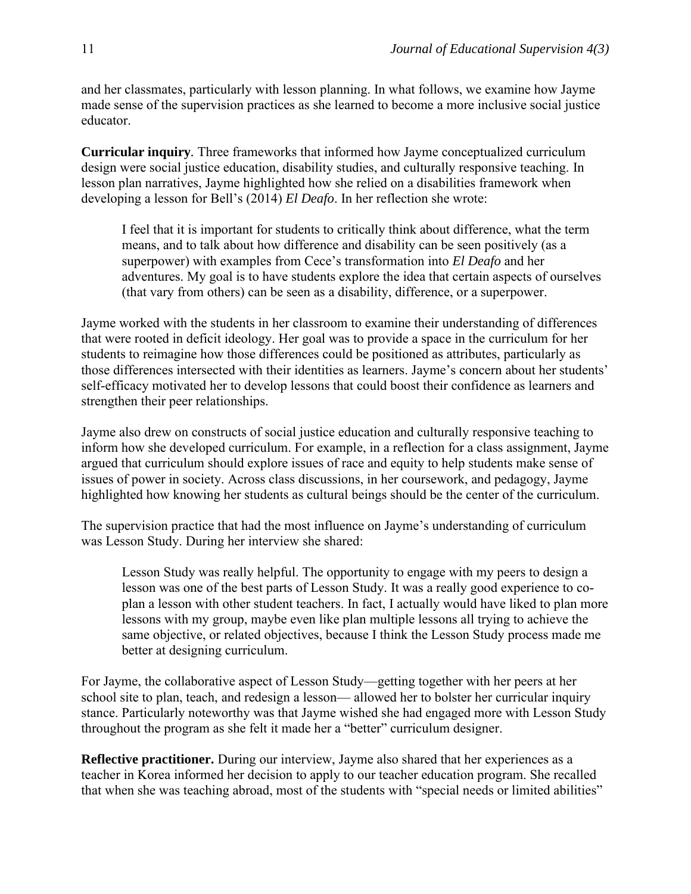and her classmates, particularly with lesson planning. In what follows, we examine how Jayme made sense of the supervision practices as she learned to become a more inclusive social justice educator.

**Curricular inquiry***.* Three frameworks that informed how Jayme conceptualized curriculum design were social justice education, disability studies, and culturally responsive teaching. In lesson plan narratives, Jayme highlighted how she relied on a disabilities framework when developing a lesson for Bell's (2014) *El Deafo*. In her reflection she wrote:

I feel that it is important for students to critically think about difference, what the term means, and to talk about how difference and disability can be seen positively (as a superpower) with examples from Cece's transformation into *El Deafo* and her adventures. My goal is to have students explore the idea that certain aspects of ourselves (that vary from others) can be seen as a disability, difference, or a superpower.

Jayme worked with the students in her classroom to examine their understanding of differences that were rooted in deficit ideology. Her goal was to provide a space in the curriculum for her students to reimagine how those differences could be positioned as attributes, particularly as those differences intersected with their identities as learners. Jayme's concern about her students' self-efficacy motivated her to develop lessons that could boost their confidence as learners and strengthen their peer relationships.

Jayme also drew on constructs of social justice education and culturally responsive teaching to inform how she developed curriculum. For example, in a reflection for a class assignment, Jayme argued that curriculum should explore issues of race and equity to help students make sense of issues of power in society. Across class discussions, in her coursework, and pedagogy, Jayme highlighted how knowing her students as cultural beings should be the center of the curriculum.

The supervision practice that had the most influence on Jayme's understanding of curriculum was Lesson Study. During her interview she shared:

Lesson Study was really helpful. The opportunity to engage with my peers to design a lesson was one of the best parts of Lesson Study. It was a really good experience to coplan a lesson with other student teachers. In fact, I actually would have liked to plan more lessons with my group, maybe even like plan multiple lessons all trying to achieve the same objective, or related objectives, because I think the Lesson Study process made me better at designing curriculum.

For Jayme, the collaborative aspect of Lesson Study—getting together with her peers at her school site to plan, teach, and redesign a lesson— allowed her to bolster her curricular inquiry stance. Particularly noteworthy was that Jayme wished she had engaged more with Lesson Study throughout the program as she felt it made her a "better" curriculum designer.

**Reflective practitioner.** During our interview, Jayme also shared that her experiences as a teacher in Korea informed her decision to apply to our teacher education program. She recalled that when she was teaching abroad, most of the students with "special needs or limited abilities"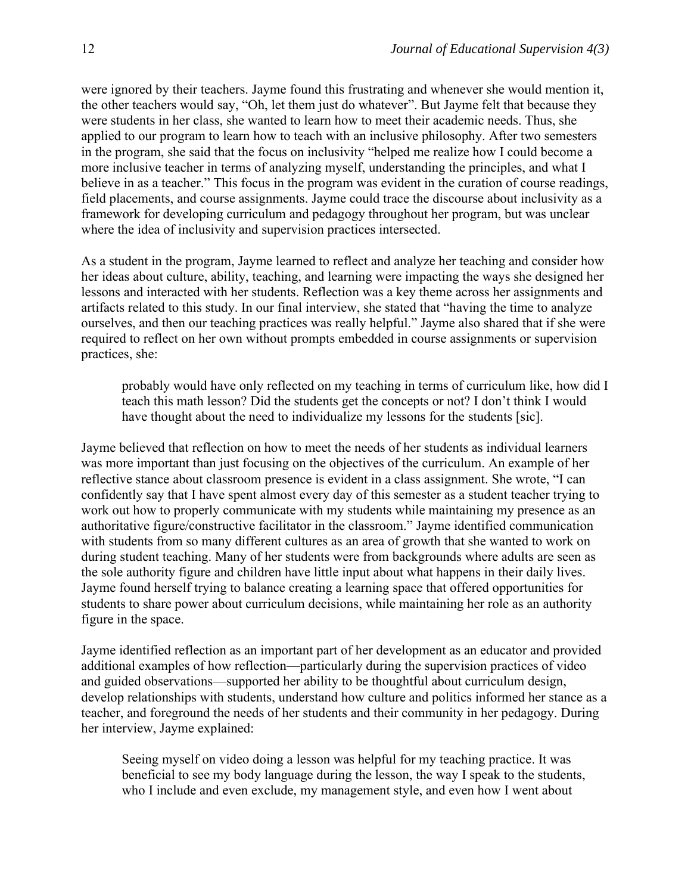were ignored by their teachers. Jayme found this frustrating and whenever she would mention it, the other teachers would say, "Oh, let them just do whatever". But Jayme felt that because they were students in her class, she wanted to learn how to meet their academic needs. Thus, she applied to our program to learn how to teach with an inclusive philosophy. After two semesters in the program, she said that the focus on inclusivity "helped me realize how I could become a more inclusive teacher in terms of analyzing myself, understanding the principles, and what I believe in as a teacher." This focus in the program was evident in the curation of course readings, field placements, and course assignments. Jayme could trace the discourse about inclusivity as a framework for developing curriculum and pedagogy throughout her program, but was unclear where the idea of inclusivity and supervision practices intersected.

As a student in the program, Jayme learned to reflect and analyze her teaching and consider how her ideas about culture, ability, teaching, and learning were impacting the ways she designed her lessons and interacted with her students. Reflection was a key theme across her assignments and artifacts related to this study. In our final interview, she stated that "having the time to analyze ourselves, and then our teaching practices was really helpful." Jayme also shared that if she were required to reflect on her own without prompts embedded in course assignments or supervision practices, she:

probably would have only reflected on my teaching in terms of curriculum like, how did I teach this math lesson? Did the students get the concepts or not? I don't think I would have thought about the need to individualize my lessons for the students [sic].

Jayme believed that reflection on how to meet the needs of her students as individual learners was more important than just focusing on the objectives of the curriculum. An example of her reflective stance about classroom presence is evident in a class assignment. She wrote, "I can confidently say that I have spent almost every day of this semester as a student teacher trying to work out how to properly communicate with my students while maintaining my presence as an authoritative figure/constructive facilitator in the classroom." Jayme identified communication with students from so many different cultures as an area of growth that she wanted to work on during student teaching. Many of her students were from backgrounds where adults are seen as the sole authority figure and children have little input about what happens in their daily lives. Jayme found herself trying to balance creating a learning space that offered opportunities for students to share power about curriculum decisions, while maintaining her role as an authority figure in the space.

Jayme identified reflection as an important part of her development as an educator and provided additional examples of how reflection—particularly during the supervision practices of video and guided observations—supported her ability to be thoughtful about curriculum design, develop relationships with students, understand how culture and politics informed her stance as a teacher, and foreground the needs of her students and their community in her pedagogy. During her interview, Jayme explained:

Seeing myself on video doing a lesson was helpful for my teaching practice. It was beneficial to see my body language during the lesson, the way I speak to the students, who I include and even exclude, my management style, and even how I went about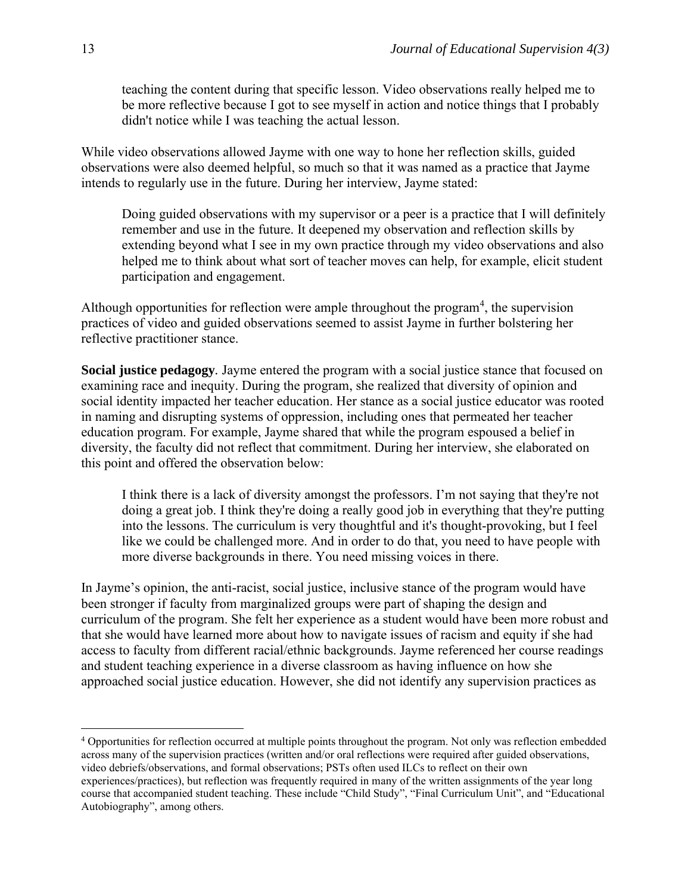teaching the content during that specific lesson. Video observations really helped me to be more reflective because I got to see myself in action and notice things that I probably didn't notice while I was teaching the actual lesson.

While video observations allowed Jayme with one way to hone her reflection skills, guided observations were also deemed helpful, so much so that it was named as a practice that Jayme intends to regularly use in the future. During her interview, Jayme stated:

Doing guided observations with my supervisor or a peer is a practice that I will definitely remember and use in the future. It deepened my observation and reflection skills by extending beyond what I see in my own practice through my video observations and also helped me to think about what sort of teacher moves can help, for example, elicit student participation and engagement.

Although opportunities for reflection were ample throughout the program $4$ , the supervision practices of video and guided observations seemed to assist Jayme in further bolstering her reflective practitioner stance.

**Social justice pedagogy***.* Jayme entered the program with a social justice stance that focused on examining race and inequity. During the program, she realized that diversity of opinion and social identity impacted her teacher education. Her stance as a social justice educator was rooted in naming and disrupting systems of oppression, including ones that permeated her teacher education program. For example, Jayme shared that while the program espoused a belief in diversity, the faculty did not reflect that commitment. During her interview, she elaborated on this point and offered the observation below:

I think there is a lack of diversity amongst the professors. I'm not saying that they're not doing a great job. I think they're doing a really good job in everything that they're putting into the lessons. The curriculum is very thoughtful and it's thought-provoking, but I feel like we could be challenged more. And in order to do that, you need to have people with more diverse backgrounds in there. You need missing voices in there.

In Jayme's opinion, the anti-racist, social justice, inclusive stance of the program would have been stronger if faculty from marginalized groups were part of shaping the design and curriculum of the program. She felt her experience as a student would have been more robust and that she would have learned more about how to navigate issues of racism and equity if she had access to faculty from different racial/ethnic backgrounds. Jayme referenced her course readings and student teaching experience in a diverse classroom as having influence on how she approached social justice education. However, she did not identify any supervision practices as

<sup>4</sup> Opportunities for reflection occurred at multiple points throughout the program. Not only was reflection embedded across many of the supervision practices (written and/or oral reflections were required after guided observations, video debriefs/observations, and formal observations; PSTs often used ILCs to reflect on their own experiences/practices), but reflection was frequently required in many of the written assignments of the year long course that accompanied student teaching. These include "Child Study", "Final Curriculum Unit", and "Educational Autobiography", among others.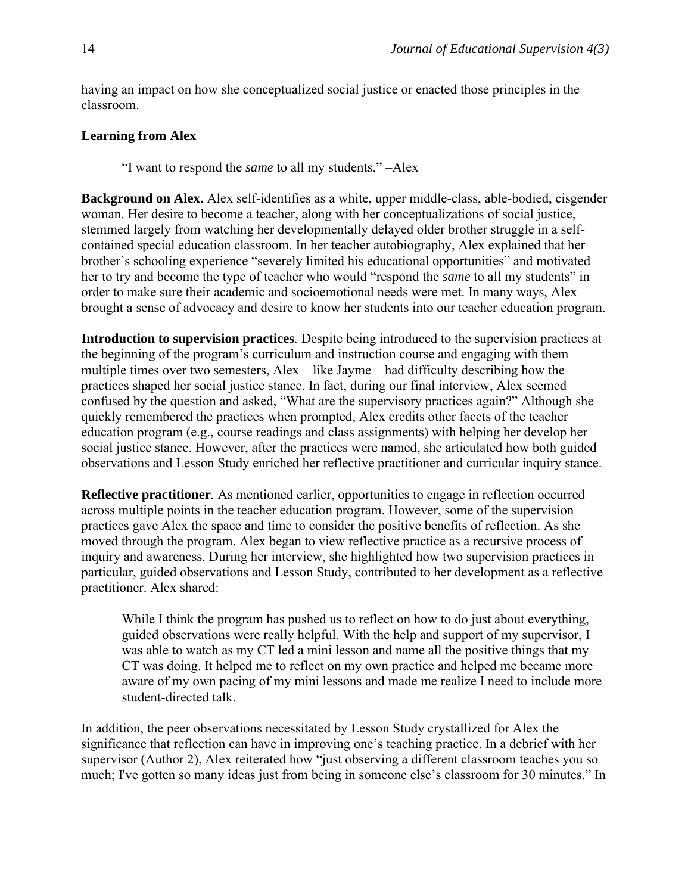having an impact on how she conceptualized social justice or enacted those principles in the classroom.

## **Learning from Alex**

"I want to respond the *same* to all my students." –Alex

**Background on Alex.** Alex self-identifies as a white, upper middle-class, able-bodied, cisgender woman. Her desire to become a teacher, along with her conceptualizations of social justice, stemmed largely from watching her developmentally delayed older brother struggle in a selfcontained special education classroom. In her teacher autobiography, Alex explained that her brother's schooling experience "severely limited his educational opportunities" and motivated her to try and become the type of teacher who would "respond the *same* to all my students" in order to make sure their academic and socioemotional needs were met. In many ways, Alex brought a sense of advocacy and desire to know her students into our teacher education program.

**Introduction to supervision practices***.* Despite being introduced to the supervision practices at the beginning of the program's curriculum and instruction course and engaging with them multiple times over two semesters, Alex—like Jayme—had difficulty describing how the practices shaped her social justice stance. In fact, during our final interview, Alex seemed confused by the question and asked, "What are the supervisory practices again?" Although she quickly remembered the practices when prompted, Alex credits other facets of the teacher education program (e.g., course readings and class assignments) with helping her develop her social justice stance. However, after the practices were named, she articulated how both guided observations and Lesson Study enriched her reflective practitioner and curricular inquiry stance.

**Reflective practitioner***.* As mentioned earlier, opportunities to engage in reflection occurred across multiple points in the teacher education program. However, some of the supervision practices gave Alex the space and time to consider the positive benefits of reflection. As she moved through the program, Alex began to view reflective practice as a recursive process of inquiry and awareness. During her interview, she highlighted how two supervision practices in particular, guided observations and Lesson Study, contributed to her development as a reflective practitioner. Alex shared:

While I think the program has pushed us to reflect on how to do just about everything, guided observations were really helpful. With the help and support of my supervisor, I was able to watch as my CT led a mini lesson and name all the positive things that my CT was doing. It helped me to reflect on my own practice and helped me became more aware of my own pacing of my mini lessons and made me realize I need to include more student-directed talk.

In addition, the peer observations necessitated by Lesson Study crystallized for Alex the significance that reflection can have in improving one's teaching practice. In a debrief with her supervisor (Author 2), Alex reiterated how "just observing a different classroom teaches you so much; I've gotten so many ideas just from being in someone else's classroom for 30 minutes." In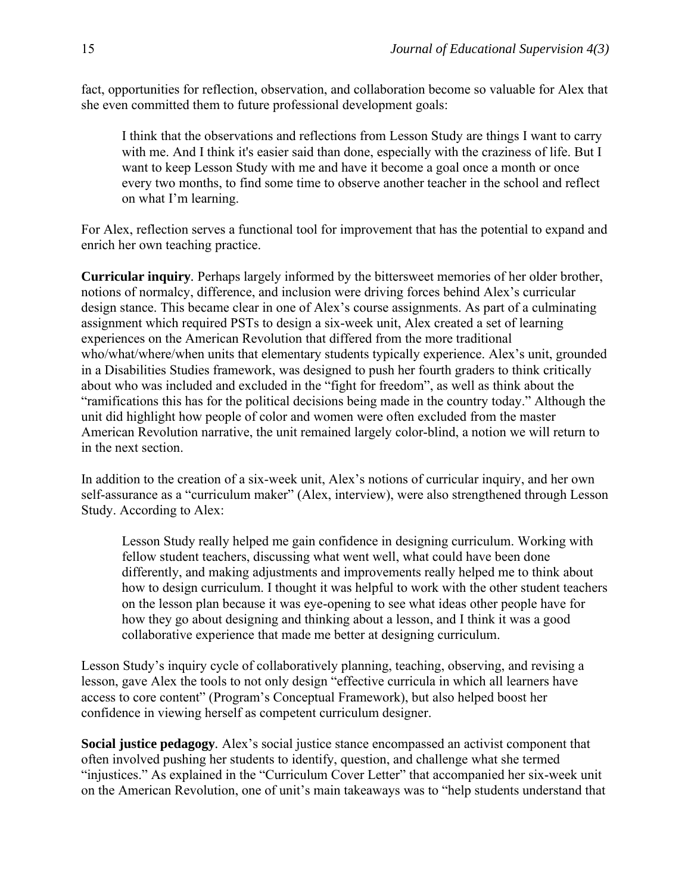fact, opportunities for reflection, observation, and collaboration become so valuable for Alex that she even committed them to future professional development goals:

I think that the observations and reflections from Lesson Study are things I want to carry with me. And I think it's easier said than done, especially with the craziness of life. But I want to keep Lesson Study with me and have it become a goal once a month or once every two months, to find some time to observe another teacher in the school and reflect on what I'm learning.

For Alex, reflection serves a functional tool for improvement that has the potential to expand and enrich her own teaching practice.

**Curricular inquiry***.* Perhaps largely informed by the bittersweet memories of her older brother, notions of normalcy, difference, and inclusion were driving forces behind Alex's curricular design stance. This became clear in one of Alex's course assignments. As part of a culminating assignment which required PSTs to design a six-week unit, Alex created a set of learning experiences on the American Revolution that differed from the more traditional who/what/where/when units that elementary students typically experience. Alex's unit, grounded in a Disabilities Studies framework, was designed to push her fourth graders to think critically about who was included and excluded in the "fight for freedom", as well as think about the "ramifications this has for the political decisions being made in the country today." Although the unit did highlight how people of color and women were often excluded from the master American Revolution narrative, the unit remained largely color-blind, a notion we will return to in the next section.

In addition to the creation of a six-week unit, Alex's notions of curricular inquiry, and her own self-assurance as a "curriculum maker" (Alex, interview), were also strengthened through Lesson Study. According to Alex:

Lesson Study really helped me gain confidence in designing curriculum. Working with fellow student teachers, discussing what went well, what could have been done differently, and making adjustments and improvements really helped me to think about how to design curriculum. I thought it was helpful to work with the other student teachers on the lesson plan because it was eye-opening to see what ideas other people have for how they go about designing and thinking about a lesson, and I think it was a good collaborative experience that made me better at designing curriculum.

Lesson Study's inquiry cycle of collaboratively planning, teaching, observing, and revising a lesson, gave Alex the tools to not only design "effective curricula in which all learners have access to core content" (Program's Conceptual Framework), but also helped boost her confidence in viewing herself as competent curriculum designer.

**Social justice pedagogy***.* Alex's social justice stance encompassed an activist component that often involved pushing her students to identify, question, and challenge what she termed "injustices." As explained in the "Curriculum Cover Letter" that accompanied her six-week unit on the American Revolution, one of unit's main takeaways was to "help students understand that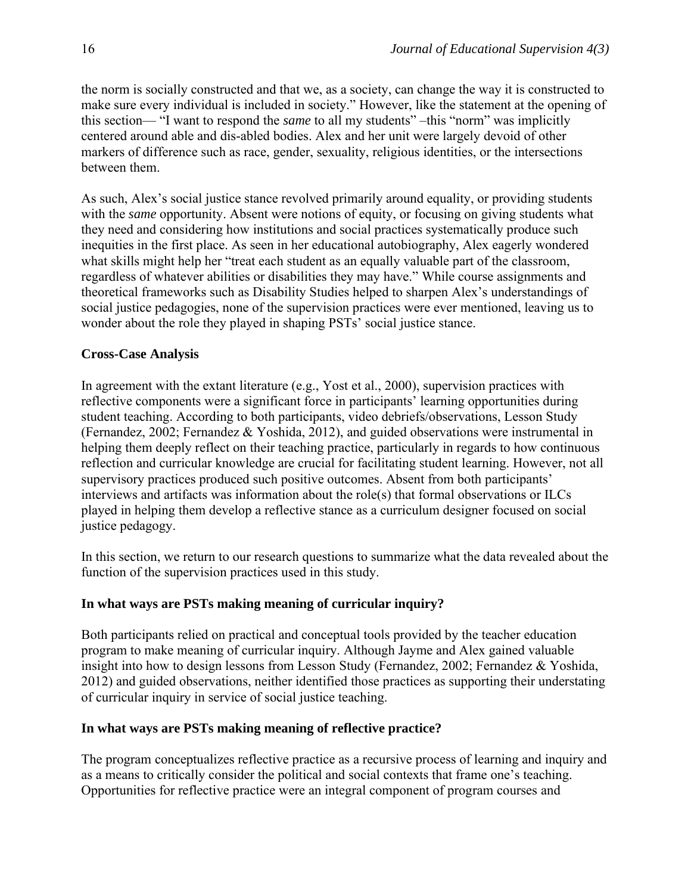the norm is socially constructed and that we, as a society, can change the way it is constructed to make sure every individual is included in society." However, like the statement at the opening of this section— "I want to respond the *same* to all my students" –this "norm" was implicitly centered around able and dis-abled bodies. Alex and her unit were largely devoid of other markers of difference such as race, gender, sexuality, religious identities, or the intersections between them.

As such, Alex's social justice stance revolved primarily around equality, or providing students with the *same* opportunity. Absent were notions of equity, or focusing on giving students what they need and considering how institutions and social practices systematically produce such inequities in the first place. As seen in her educational autobiography, Alex eagerly wondered what skills might help her "treat each student as an equally valuable part of the classroom, regardless of whatever abilities or disabilities they may have." While course assignments and theoretical frameworks such as Disability Studies helped to sharpen Alex's understandings of social justice pedagogies, none of the supervision practices were ever mentioned, leaving us to wonder about the role they played in shaping PSTs' social justice stance.

## **Cross-Case Analysis**

In agreement with the extant literature (e.g., Yost et al., 2000), supervision practices with reflective components were a significant force in participants' learning opportunities during student teaching. According to both participants, video debriefs/observations, Lesson Study (Fernandez, 2002; Fernandez & Yoshida, 2012), and guided observations were instrumental in helping them deeply reflect on their teaching practice, particularly in regards to how continuous reflection and curricular knowledge are crucial for facilitating student learning. However, not all supervisory practices produced such positive outcomes. Absent from both participants' interviews and artifacts was information about the role(s) that formal observations or ILCs played in helping them develop a reflective stance as a curriculum designer focused on social justice pedagogy.

In this section, we return to our research questions to summarize what the data revealed about the function of the supervision practices used in this study.

#### **In what ways are PSTs making meaning of curricular inquiry?**

Both participants relied on practical and conceptual tools provided by the teacher education program to make meaning of curricular inquiry. Although Jayme and Alex gained valuable insight into how to design lessons from Lesson Study (Fernandez, 2002; Fernandez & Yoshida, 2012) and guided observations, neither identified those practices as supporting their understating of curricular inquiry in service of social justice teaching.

#### **In what ways are PSTs making meaning of reflective practice?**

The program conceptualizes reflective practice as a recursive process of learning and inquiry and as a means to critically consider the political and social contexts that frame one's teaching. Opportunities for reflective practice were an integral component of program courses and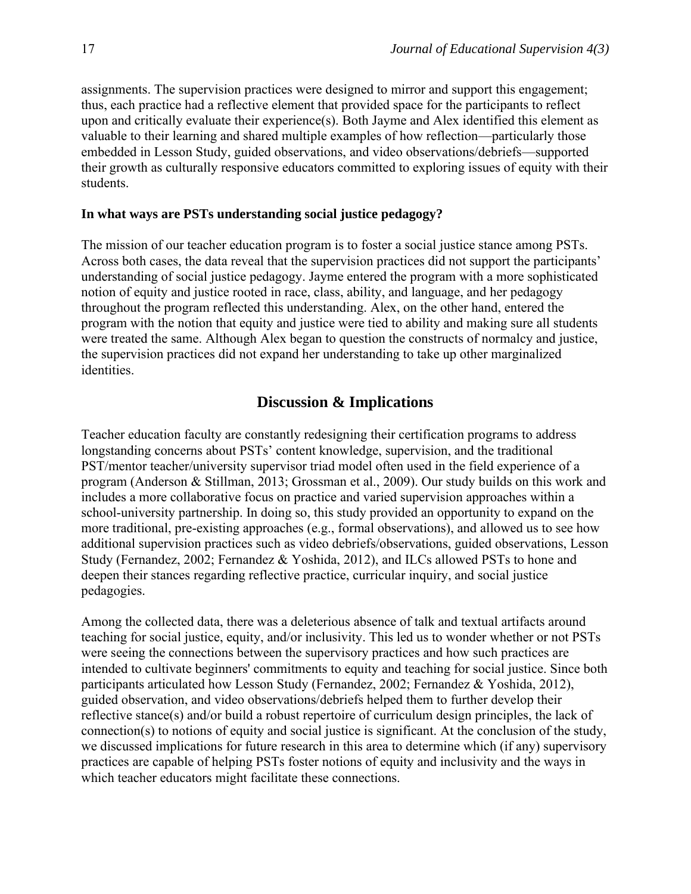assignments. The supervision practices were designed to mirror and support this engagement; thus, each practice had a reflective element that provided space for the participants to reflect upon and critically evaluate their experience(s). Both Jayme and Alex identified this element as valuable to their learning and shared multiple examples of how reflection—particularly those embedded in Lesson Study, guided observations, and video observations/debriefs—supported their growth as culturally responsive educators committed to exploring issues of equity with their students.

#### **In what ways are PSTs understanding social justice pedagogy?**

The mission of our teacher education program is to foster a social justice stance among PSTs. Across both cases, the data reveal that the supervision practices did not support the participants' understanding of social justice pedagogy. Jayme entered the program with a more sophisticated notion of equity and justice rooted in race, class, ability, and language, and her pedagogy throughout the program reflected this understanding. Alex, on the other hand, entered the program with the notion that equity and justice were tied to ability and making sure all students were treated the same. Although Alex began to question the constructs of normalcy and justice, the supervision practices did not expand her understanding to take up other marginalized identities.

### **Discussion & Implications**

Teacher education faculty are constantly redesigning their certification programs to address longstanding concerns about PSTs' content knowledge, supervision, and the traditional PST/mentor teacher/university supervisor triad model often used in the field experience of a program (Anderson & Stillman, 2013; Grossman et al., 2009). Our study builds on this work and includes a more collaborative focus on practice and varied supervision approaches within a school-university partnership. In doing so, this study provided an opportunity to expand on the more traditional, pre-existing approaches (e.g., formal observations), and allowed us to see how additional supervision practices such as video debriefs/observations, guided observations, Lesson Study (Fernandez, 2002; Fernandez & Yoshida, 2012), and ILCs allowed PSTs to hone and deepen their stances regarding reflective practice, curricular inquiry, and social justice pedagogies.

Among the collected data, there was a deleterious absence of talk and textual artifacts around teaching for social justice, equity, and/or inclusivity. This led us to wonder whether or not PSTs were seeing the connections between the supervisory practices and how such practices are intended to cultivate beginners' commitments to equity and teaching for social justice. Since both participants articulated how Lesson Study (Fernandez, 2002; Fernandez & Yoshida, 2012), guided observation, and video observations/debriefs helped them to further develop their reflective stance(s) and/or build a robust repertoire of curriculum design principles, the lack of connection(s) to notions of equity and social justice is significant. At the conclusion of the study, we discussed implications for future research in this area to determine which (if any) supervisory practices are capable of helping PSTs foster notions of equity and inclusivity and the ways in which teacher educators might facilitate these connections.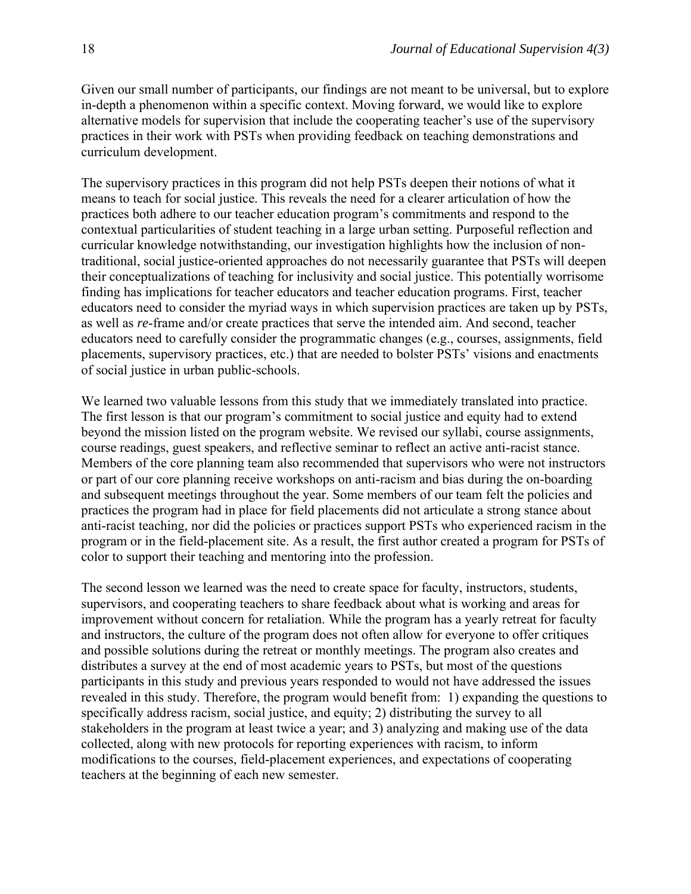Given our small number of participants, our findings are not meant to be universal, but to explore in-depth a phenomenon within a specific context. Moving forward, we would like to explore alternative models for supervision that include the cooperating teacher's use of the supervisory practices in their work with PSTs when providing feedback on teaching demonstrations and curriculum development.

The supervisory practices in this program did not help PSTs deepen their notions of what it means to teach for social justice. This reveals the need for a clearer articulation of how the practices both adhere to our teacher education program's commitments and respond to the contextual particularities of student teaching in a large urban setting. Purposeful reflection and curricular knowledge notwithstanding, our investigation highlights how the inclusion of nontraditional, social justice-oriented approaches do not necessarily guarantee that PSTs will deepen their conceptualizations of teaching for inclusivity and social justice. This potentially worrisome finding has implications for teacher educators and teacher education programs. First, teacher educators need to consider the myriad ways in which supervision practices are taken up by PSTs, as well as *re*-frame and/or create practices that serve the intended aim. And second, teacher educators need to carefully consider the programmatic changes (e.g., courses, assignments, field placements, supervisory practices, etc.) that are needed to bolster PSTs' visions and enactments of social justice in urban public-schools.

We learned two valuable lessons from this study that we immediately translated into practice. The first lesson is that our program's commitment to social justice and equity had to extend beyond the mission listed on the program website. We revised our syllabi, course assignments, course readings, guest speakers, and reflective seminar to reflect an active anti-racist stance. Members of the core planning team also recommended that supervisors who were not instructors or part of our core planning receive workshops on anti-racism and bias during the on-boarding and subsequent meetings throughout the year. Some members of our team felt the policies and practices the program had in place for field placements did not articulate a strong stance about anti-racist teaching, nor did the policies or practices support PSTs who experienced racism in the program or in the field-placement site. As a result, the first author created a program for PSTs of color to support their teaching and mentoring into the profession.

The second lesson we learned was the need to create space for faculty, instructors, students, supervisors, and cooperating teachers to share feedback about what is working and areas for improvement without concern for retaliation. While the program has a yearly retreat for faculty and instructors, the culture of the program does not often allow for everyone to offer critiques and possible solutions during the retreat or monthly meetings. The program also creates and distributes a survey at the end of most academic years to PSTs, but most of the questions participants in this study and previous years responded to would not have addressed the issues revealed in this study. Therefore, the program would benefit from: 1) expanding the questions to specifically address racism, social justice, and equity; 2) distributing the survey to all stakeholders in the program at least twice a year; and 3) analyzing and making use of the data collected, along with new protocols for reporting experiences with racism, to inform modifications to the courses, field-placement experiences, and expectations of cooperating teachers at the beginning of each new semester.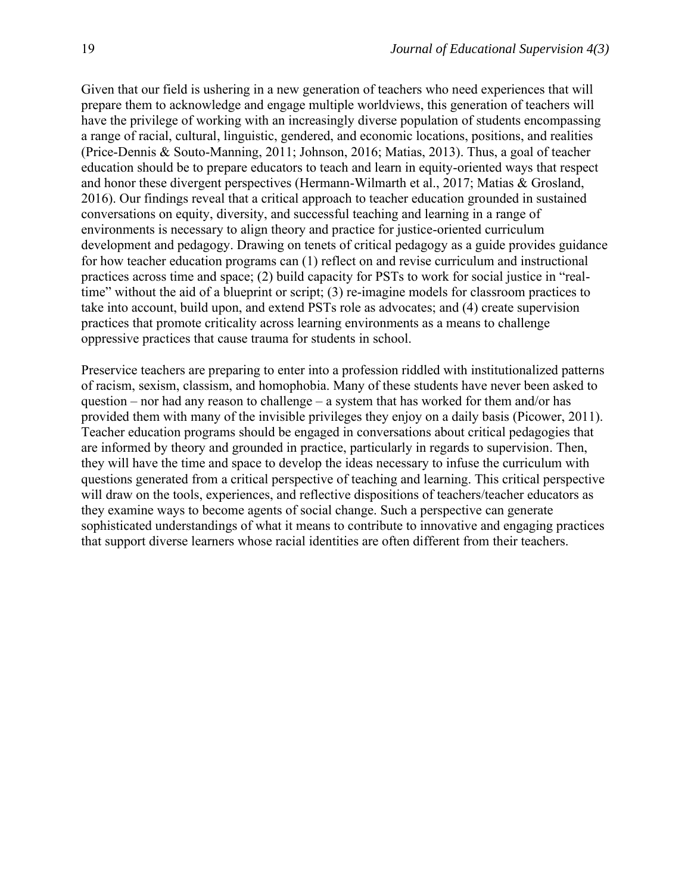Given that our field is ushering in a new generation of teachers who need experiences that will prepare them to acknowledge and engage multiple worldviews, this generation of teachers will have the privilege of working with an increasingly diverse population of students encompassing a range of racial, cultural, linguistic, gendered, and economic locations, positions, and realities (Price-Dennis & Souto-Manning, 2011; Johnson, 2016; Matias, 2013). Thus, a goal of teacher education should be to prepare educators to teach and learn in equity-oriented ways that respect and honor these divergent perspectives (Hermann-Wilmarth et al., 2017; Matias & Grosland, 2016). Our findings reveal that a critical approach to teacher education grounded in sustained conversations on equity, diversity, and successful teaching and learning in a range of environments is necessary to align theory and practice for justice-oriented curriculum development and pedagogy. Drawing on tenets of critical pedagogy as a guide provides guidance for how teacher education programs can (1) reflect on and revise curriculum and instructional practices across time and space; (2) build capacity for PSTs to work for social justice in "realtime" without the aid of a blueprint or script; (3) re-imagine models for classroom practices to take into account, build upon, and extend PSTs role as advocates; and (4) create supervision practices that promote criticality across learning environments as a means to challenge oppressive practices that cause trauma for students in school.

Preservice teachers are preparing to enter into a profession riddled with institutionalized patterns of racism, sexism, classism, and homophobia. Many of these students have never been asked to question – nor had any reason to challenge – a system that has worked for them and/or has provided them with many of the invisible privileges they enjoy on a daily basis (Picower, 2011). Teacher education programs should be engaged in conversations about critical pedagogies that are informed by theory and grounded in practice, particularly in regards to supervision. Then, they will have the time and space to develop the ideas necessary to infuse the curriculum with questions generated from a critical perspective of teaching and learning. This critical perspective will draw on the tools, experiences, and reflective dispositions of teachers/teacher educators as they examine ways to become agents of social change. Such a perspective can generate sophisticated understandings of what it means to contribute to innovative and engaging practices that support diverse learners whose racial identities are often different from their teachers.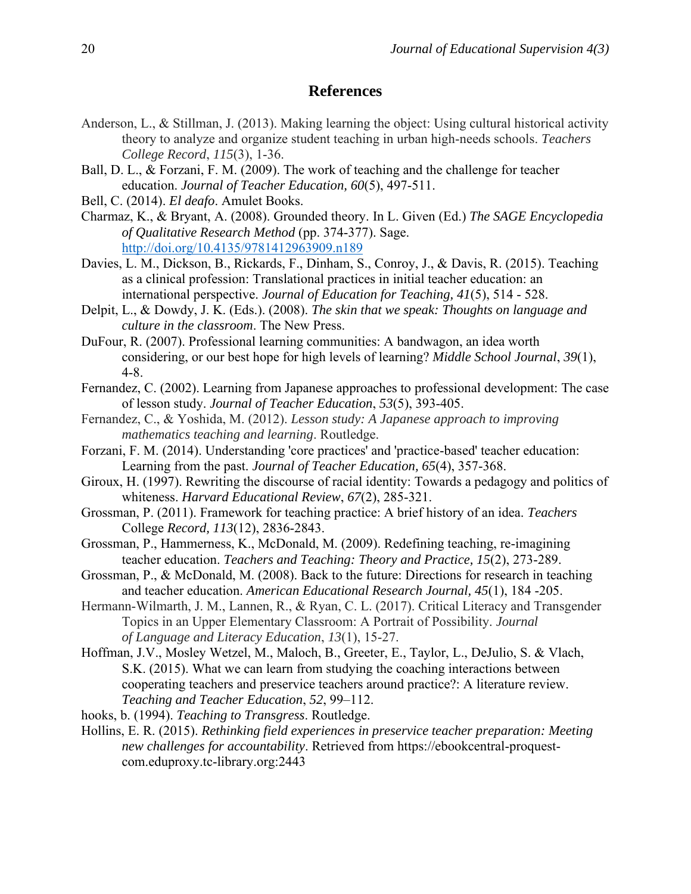## **References**

- Anderson, L., & Stillman, J. (2013). Making learning the object: Using cultural historical activity theory to analyze and organize student teaching in urban high-needs schools. *Teachers College Record*, *115*(3), 1-36.
- Ball, D. L., & Forzani, F. M. (2009). The work of teaching and the challenge for teacher education. *Journal of Teacher Education, 60*(5), 497-511.
- Bell, C. (2014). *El deafo*. Amulet Books.
- Charmaz, K., & Bryant, A. (2008). Grounded theory. In L. Given (Ed.) *The SAGE Encyclopedia of Qualitative Research Method* (pp. 374-377). Sage. <http://doi.org/10.4135/9781412963909.n189>
- Davies, L. M., Dickson, B., Rickards, F., Dinham, S., Conroy, J., & Davis, R. (2015). Teaching as a clinical profession: Translational practices in initial teacher education: an international perspective. *Journal of Education for Teaching, 41*(5), 514 - 528.
- Delpit, L., & Dowdy, J. K. (Eds.). (2008). *The skin that we speak: Thoughts on language and culture in the classroom*. The New Press.
- DuFour, R. (2007). Professional learning communities: A bandwagon, an idea worth considering, or our best hope for high levels of learning? *Middle School Journal*, *39*(1), 4-8.
- Fernandez, C. (2002). Learning from Japanese approaches to professional development: The case of lesson study. *Journal of Teacher Education*, *53*(5), 393-405.
- Fernandez, C., & Yoshida, M. (2012). *Lesson study: A Japanese approach to improving mathematics teaching and learning*. Routledge.
- Forzani, F. M. (2014). Understanding 'core practices' and 'practice-based' teacher education: Learning from the past. *Journal of Teacher Education, 65*(4), 357-368.
- Giroux, H. (1997). Rewriting the discourse of racial identity: Towards a pedagogy and politics of whiteness. *Harvard Educational Review*, *67*(2), 285-321.
- Grossman, P. (2011). Framework for teaching practice: A brief history of an idea. *Teachers*  College *Record, 113*(12), 2836-2843.
- Grossman, P., Hammerness, K., McDonald, M. (2009). Redefining teaching, re-imagining teacher education. *Teachers and Teaching: Theory and Practice, 15*(2), 273-289.
- Grossman, P., & McDonald, M. (2008). Back to the future: Directions for research in teaching and teacher education. *American Educational Research Journal, 45*(1), 184 -205.
- Hermann-Wilmarth, J. M., Lannen, R., & Ryan, C. L. (2017). Critical Literacy and Transgender Topics in an Upper Elementary Classroom: A Portrait of Possibility. *Journal of Language and Literacy Education*, *13*(1), 15-27.
- Hoffman, J.V., Mosley Wetzel, M., Maloch, B., Greeter, E., Taylor, L., DeJulio, S. & Vlach, S.K. (2015). What we can learn from studying the coaching interactions between cooperating teachers and preservice teachers around practice?: A literature review. *Teaching and Teacher Education*, *52*, 99–112.
- hooks, b. (1994). *Teaching to Transgress*. Routledge.
- Hollins, E. R. (2015). *Rethinking field experiences in preservice teacher preparation: Meeting new challenges for accountability*. Retrieved from https://ebookcentral-proquestcom.eduproxy.tc-library.org:2443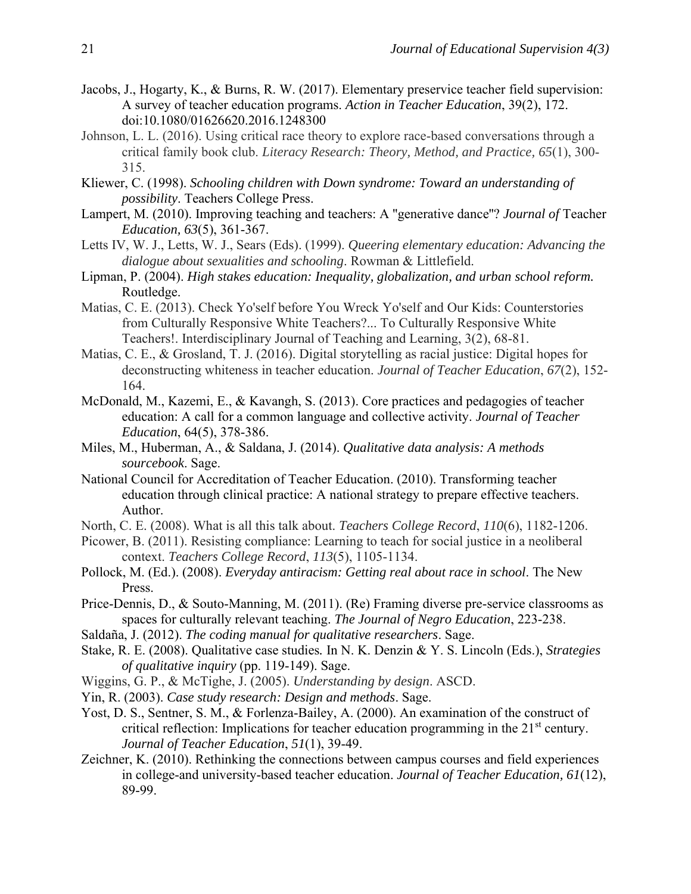- Jacobs, J., Hogarty, K., & Burns, R. W. (2017). Elementary preservice teacher field supervision: A survey of teacher education programs. *Action in Teacher Education*, 39(2), 172. doi:10.1080/01626620.2016.1248300
- Johnson, L. L. (2016). Using critical race theory to explore race-based conversations through a critical family book club. *Literacy Research: Theory, Method, and Practice, 65*(1), 300- 315.
- Kliewer, C. (1998). *Schooling children with Down syndrome: Toward an understanding of possibility*. Teachers College Press.
- Lampert, M. (2010). Improving teaching and teachers: A ''generative dance''? *Journal of* Teacher *Education, 63*(5), 361-367.
- Letts IV, W. J., Letts, W. J., Sears (Eds). (1999). *Queering elementary education: Advancing the dialogue about sexualities and schooling*. Rowman & Littlefield.
- Lipman, P. (2004). *High stakes education: Inequality, globalization, and urban school reform.* Routledge.
- Matias, C. E. (2013). Check Yo'self before You Wreck Yo'self and Our Kids: Counterstories from Culturally Responsive White Teachers?... To Culturally Responsive White Teachers!. Interdisciplinary Journal of Teaching and Learning, 3(2), 68-81.
- Matias, C. E., & Grosland, T. J. (2016). Digital storytelling as racial justice: Digital hopes for deconstructing whiteness in teacher education. *Journal of Teacher Education*, *67*(2), 152- 164.
- McDonald, M., Kazemi, E., & Kavangh, S. (2013). Core practices and pedagogies of teacher education: A call for a common language and collective activity. *Journal of Teacher Education*, 64(5), 378-386.
- Miles, M., Huberman, A., & Saldana, J. (2014). *Qualitative data analysis: A methods sourcebook*. Sage.
- National Council for Accreditation of Teacher Education. (2010). Transforming teacher education through clinical practice: A national strategy to prepare effective teachers. Author.
- North, C. E. (2008). What is all this talk about. *Teachers College Record*, *110*(6), 1182-1206.
- Picower, B. (2011). Resisting compliance: Learning to teach for social justice in a neoliberal context. *Teachers College Record*, *113*(5), 1105-1134.
- Pollock, M. (Ed.). (2008). *Everyday antiracism: Getting real about race in school*. The New Press.
- Price-Dennis, D., & Souto-Manning, M. (2011). (Re) Framing diverse pre-service classrooms as spaces for culturally relevant teaching. *The Journal of Negro Education*, 223-238.
- Saldaña, J. (2012). *The coding manual for qualitative researchers*. Sage.
- Stake*,* R. E. (2008). Qualitative case studies*.* In N. K. Denzin & Y. S. Lincoln (Eds.), *Strategies of qualitative inquiry* (pp. 119-149). Sage.
- Wiggins, G. P., & McTighe, J. (2005). *Understanding by design*. ASCD.
- Yin, R. (2003). *Case study research: Design and methods*. Sage.
- Yost, D. S., Sentner, S. M., & Forlenza-Bailey, A. (2000). An examination of the construct of critical reflection: Implications for teacher education programming in the 21<sup>st</sup> century. *Journal of Teacher Education*, *51*(1), 39-49.
- Zeichner, K. (2010). Rethinking the connections between campus courses and field experiences in college-and university-based teacher education. *Journal of Teacher Education, 61*(12), 89-99.